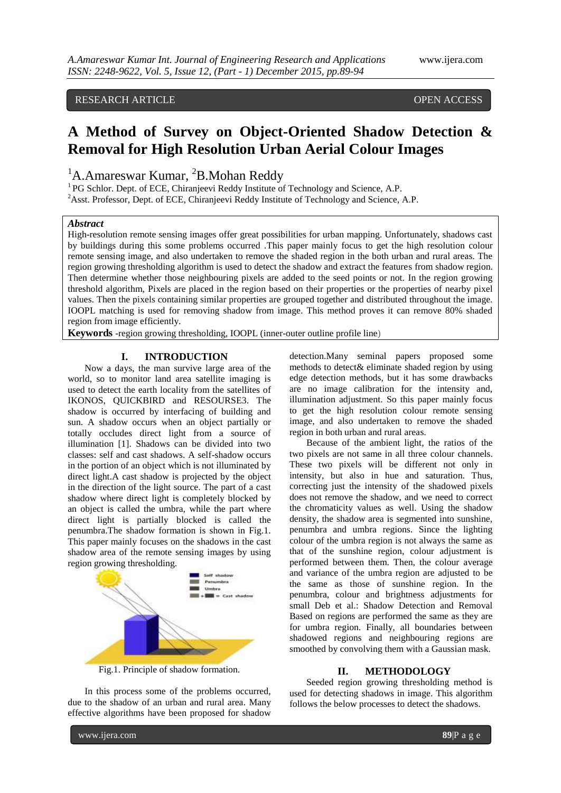# RESEARCH ARTICLE OPEN ACCESS

# **A Method of Survey on Object-Oriented Shadow Detection & Removal for High Resolution Urban Aerial Colour Images**

 ${}^{1}$ A.Amareswar Kumar,  ${}^{2}$ B.Mohan Reddy

<sup>1</sup> PG Schlor. Dept. of ECE, Chiranjeevi Reddy Institute of Technology and Science, A.P. <sup>2</sup>Asst. Professor, Dept. of ECE, Chiranjeevi Reddy Institute of Technology and Science, A.P.

# *Abstract*

High-resolution remote sensing images offer great possibilities for urban mapping. Unfortunately, shadows cast by buildings during this some problems occurred .This paper mainly focus to get the high resolution colour remote sensing image, and also undertaken to remove the shaded region in the both urban and rural areas. The region growing thresholding algorithm is used to detect the shadow and extract the features from shadow region. Then determine whether those neighbouring pixels are added to the seed points or not. In the region growing threshold algorithm, Pixels are placed in the region based on their properties or the properties of nearby pixel values. Then the pixels containing similar properties are grouped together and distributed throughout the image. IOOPL matching is used for removing shadow from image. This method proves it can remove 80% shaded region from image efficiently.

**Keywords** -region growing thresholding, IOOPL (inner-outer outline profile line)

# **I. INTRODUCTION**

Now a days, the man survive large area of the world, so to monitor land area satellite imaging is used to detect the earth locality from the satellites of IKONOS, QUICKBIRD and RESOURSE3. The shadow is occurred by interfacing of building and sun. A shadow occurs when an object partially or totally occludes direct light from a source of illumination [1]. Shadows can be divided into two classes: self and cast shadows. A self-shadow occurs in the portion of an object which is not illuminated by direct light.A cast shadow is projected by the object in the direction of the light source. The part of a cast shadow where direct light is completely blocked by an object is called the umbra, while the part where direct light is partially blocked is called the penumbra.The shadow formation is shown in Fig.1. This paper mainly focuses on the shadows in the cast shadow area of the remote sensing images by using region growing thresholding.



Fig.1. Principle of shadow formation.

In this process some of the problems occurred, due to the shadow of an urban and rural area. Many effective algorithms have been proposed for shadow

detection.Many seminal papers proposed some methods to detect& eliminate shaded region by using edge detection methods, but it has some drawbacks are no image calibration for the intensity and, illumination adjustment. So this paper mainly focus to get the high resolution colour remote sensing image, and also undertaken to remove the shaded region in both urban and rural areas.

Because of the ambient light, the ratios of the two pixels are not same in all three colour channels. These two pixels will be different not only in intensity, but also in hue and saturation. Thus, correcting just the intensity of the shadowed pixels does not remove the shadow, and we need to correct the chromaticity values as well. Using the shadow density, the shadow area is segmented into sunshine, penumbra and umbra regions. Since the lighting colour of the umbra region is not always the same as that of the sunshine region, colour adjustment is performed between them. Then, the colour average and variance of the umbra region are adjusted to be the same as those of sunshine region. In the penumbra, colour and brightness adjustments for small Deb et al.: Shadow Detection and Removal Based on regions are performed the same as they are for umbra region. Finally, all boundaries between shadowed regions and neighbouring regions are smoothed by convolving them with a Gaussian mask.

## **II. METHODOLOGY**

Seeded region growing thresholding method is used for detecting shadows in image. This algorithm follows the below processes to detect the shadows.

www.ijera.com **89**|P a g e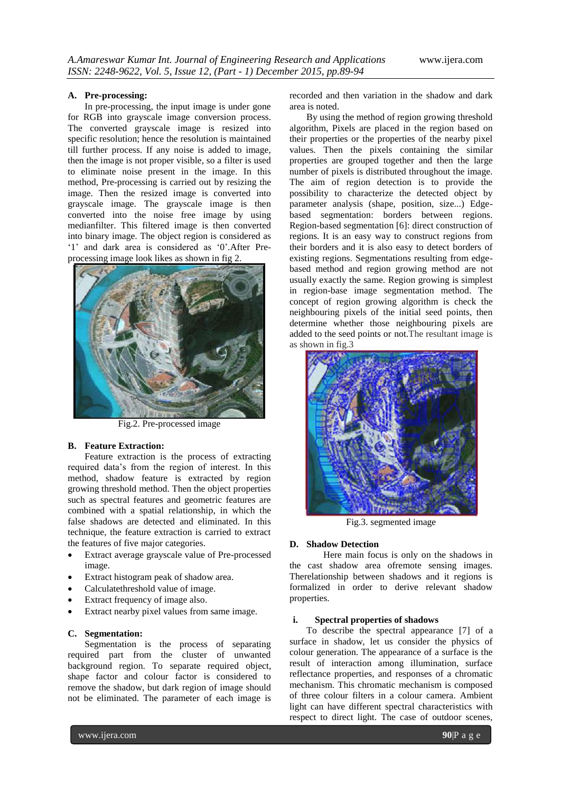#### **A. Pre-processing:**

In pre-processing, the input image is under gone for RGB into grayscale image conversion process. The converted grayscale image is resized into specific resolution; hence the resolution is maintained till further process. If any noise is added to image, then the image is not proper visible, so a filter is used to eliminate noise present in the image. In this method, Pre-processing is carried out by resizing the image. Then the resized image is converted into grayscale image. The grayscale image is then converted into the noise free image by using medianfilter. This filtered image is then converted into binary image. The object region is considered as '1' and dark area is considered as '0'.After Preprocessing image look likes as shown in fig 2.



Fig.2. Pre-processed image

#### **B. Feature Extraction:**

Feature extraction is the process of extracting required data"s from the region of interest. In this method, shadow feature is extracted by region growing threshold method. Then the object properties such as spectral features and geometric features are combined with a spatial relationship, in which the false shadows are detected and eliminated. In this technique, the feature extraction is carried to extract the features of five major categories.

- Extract average grayscale value of Pre-processed image.
- Extract histogram peak of shadow area.
- Calculatethreshold value of image.
- Extract frequency of image also.
- Extract nearby pixel values from same image.

#### **C. Segmentation:**

Segmentation is the process of separating required part from the cluster of unwanted background region. To separate required object, shape factor and colour factor is considered to remove the shadow, but dark region of image should not be eliminated. The parameter of each image is

recorded and then variation in the shadow and dark area is noted.

By using the method of region growing threshold algorithm, Pixels are placed in the region based on their properties or the properties of the nearby pixel values. Then the pixels containing the similar properties are grouped together and then the large number of pixels is distributed throughout the image. The aim of region detection is to provide the possibility to characterize the detected object by parameter analysis (shape, position, size...) Edgebased segmentation: borders between regions. Region-based segmentation [6]: direct construction of regions. It is an easy way to construct regions from their borders and it is also easy to detect borders of existing regions. Segmentations resulting from edgebased method and region growing method are not usually exactly the same. Region growing is simplest in region-base image segmentation method. The concept of region growing algorithm is check the neighbouring pixels of the initial seed points, then determine whether those neighbouring pixels are added to the seed points or not.The resultant image is as shown in fig.3



Fig.3. segmented image

#### **D. Shadow Detection**

Here main focus is only on the shadows in the cast shadow area ofremote sensing images. Therelationship between shadows and it regions is formalized in order to derive relevant shadow properties.

## **i. Spectral properties of shadows**

To describe the spectral appearance [7] of a surface in shadow, let us consider the physics of colour generation. The appearance of a surface is the result of interaction among illumination, surface reflectance properties, and responses of a chromatic mechanism. This chromatic mechanism is composed of three colour filters in a colour camera. Ambient light can have different spectral characteristics with respect to direct light. The case of outdoor scenes,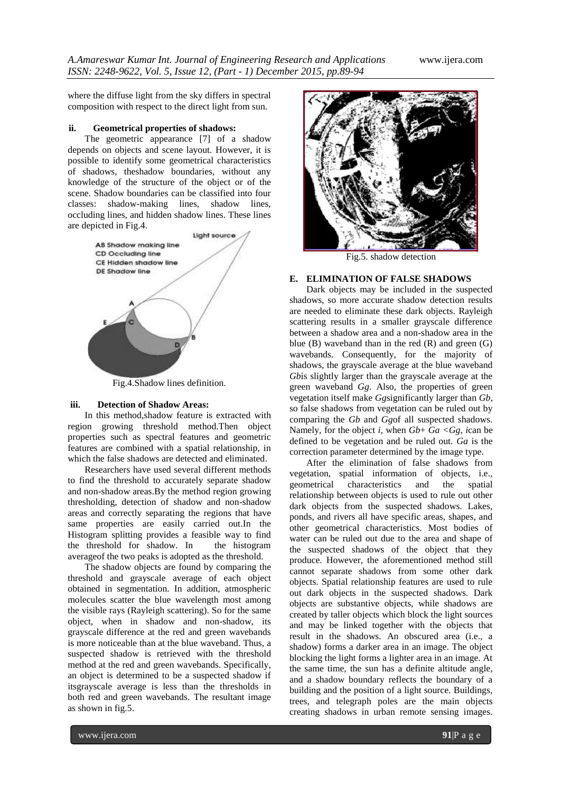where the diffuse light from the sky differs in spectral composition with respect to the direct light from sun.

#### **ii. Geometrical properties of shadows:**

The geometric appearance [7] of a shadow depends on objects and scene layout. However, it is possible to identify some geometrical characteristics of shadows, theshadow boundaries, without any knowledge of the structure of the object or of the scene. Shadow boundaries can be classified into four classes: shadow-making lines, shadow lines, occluding lines, and hidden shadow lines. These lines are depicted in Fig.4.



Fig.4.Shadow lines definition.

#### **iii. Detection of Shadow Areas:**

In this method,shadow feature is extracted with region growing threshold method.Then object properties such as spectral features and geometric features are combined with a spatial relationship, in which the false shadows are detected and eliminated.

Researchers have used several different methods to find the threshold to accurately separate shadow and non-shadow areas.By the method region growing thresholding, detection of shadow and non-shadow areas and correctly separating the regions that have same properties are easily carried out.In the Histogram splitting provides a feasible way to find the threshold for shadow. In the histogram averageof the two peaks is adopted as the threshold.

The shadow objects are found by comparing the threshold and grayscale average of each object obtained in segmentation. In addition, atmospheric molecules scatter the blue wavelength most among the visible rays (Rayleigh scattering). So for the same object, when in shadow and non-shadow, its grayscale difference at the red and green wavebands is more noticeable than at the blue waveband. Thus, a suspected shadow is retrieved with the threshold method at the red and green wavebands. Specifically, an object is determined to be a suspected shadow if itsgrayscale average is less than the thresholds in both red and green wavebands. The resultant image as shown in fig.5.



Fig.5. shadow detection

## **E. ELIMINATION OF FALSE SHADOWS**

Dark objects may be included in the suspected shadows, so more accurate shadow detection results are needed to eliminate these dark objects. Rayleigh scattering results in a smaller grayscale difference between a shadow area and a non-shadow area in the blue  $(B)$  waveband than in the red  $(R)$  and green  $(G)$ wavebands. Consequently, for the majority of shadows, the grayscale average at the blue waveband *Gb*is slightly larger than the grayscale average at the green waveband *Gg*. Also, the properties of green vegetation itself make *Gg*significantly larger than *Gb*, so false shadows from vegetation can be ruled out by comparing the *Gb* and *Gg*of all suspected shadows. Namely, for the object *i*, when *Gb*+ *Ga <Gg*, *i*can be defined to be vegetation and be ruled out. *Ga* is the correction parameter determined by the image type.

After the elimination of false shadows from vegetation, spatial information of objects, i.e., geometrical characteristics and the spatial relationship between objects is used to rule out other dark objects from the suspected shadows. Lakes, ponds, and rivers all have specific areas, shapes, and other geometrical characteristics. Most bodies of water can be ruled out due to the area and shape of the suspected shadows of the object that they produce. However, the aforementioned method still cannot separate shadows from some other dark objects. Spatial relationship features are used to rule out dark objects in the suspected shadows. Dark objects are substantive objects, while shadows are created by taller objects which block the light sources and may be linked together with the objects that result in the shadows. An obscured area (i.e., a shadow) forms a darker area in an image. The object blocking the light forms a lighter area in an image. At the same time, the sun has a definite altitude angle, and a shadow boundary reflects the boundary of a building and the position of a light source. Buildings, trees, and telegraph poles are the main objects creating shadows in urban remote sensing images.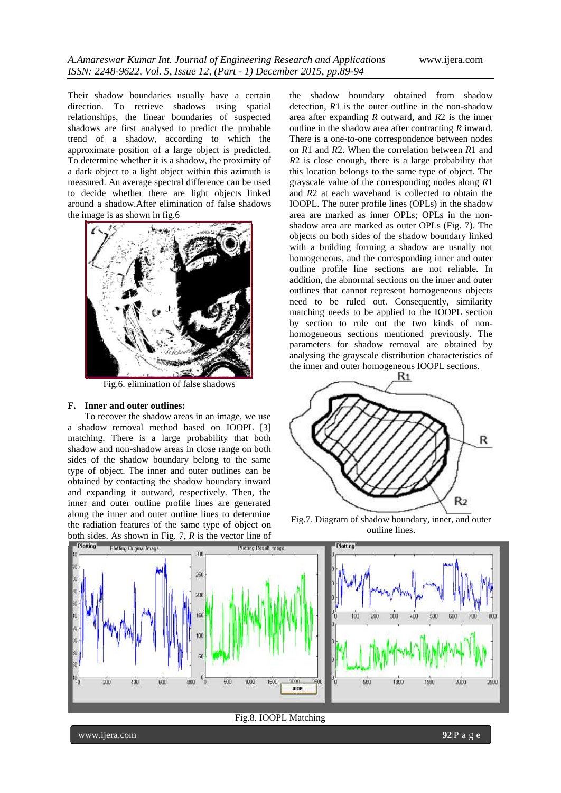Their shadow boundaries usually have a certain direction. To retrieve shadows using spatial relationships, the linear boundaries of suspected shadows are first analysed to predict the probable trend of a shadow, according to which the approximate position of a large object is predicted. To determine whether it is a shadow, the proximity of a dark object to a light object within this azimuth is measured. An average spectral difference can be used to decide whether there are light objects linked around a shadow.After elimination of false shadows the image is as shown in fig.6



Fig.6. elimination of false shadows

## **F. Inner and outer outlines:**

To recover the shadow areas in an image, we use a shadow removal method based on IOOPL [3] matching. There is a large probability that both shadow and non-shadow areas in close range on both sides of the shadow boundary belong to the same type of object. The inner and outer outlines can be obtained by contacting the shadow boundary inward and expanding it outward, respectively. Then, the inner and outer outline profile lines are generated along the inner and outer outline lines to determine the radiation features of the same type of object on both sides. As shown in Fig. 7, *R* is the vector line of

the shadow boundary obtained from shadow detection, *R*1 is the outer outline in the non-shadow area after expanding *R* outward, and *R*2 is the inner outline in the shadow area after contracting *R* inward. There is a one-to-one correspondence between nodes on *R*1 and *R*2. When the correlation between *R*1 and *R*2 is close enough, there is a large probability that this location belongs to the same type of object. The grayscale value of the corresponding nodes along *R*1 and *R*2 at each waveband is collected to obtain the IOOPL. The outer profile lines (OPLs) in the shadow area are marked as inner OPLs; OPLs in the nonshadow area are marked as outer OPLs (Fig. 7). The objects on both sides of the shadow boundary linked with a building forming a shadow are usually not homogeneous, and the corresponding inner and outer outline profile line sections are not reliable. In addition, the abnormal sections on the inner and outer outlines that cannot represent homogeneous objects need to be ruled out. Consequently, similarity matching needs to be applied to the IOOPL section by section to rule out the two kinds of nonhomogeneous sections mentioned previously. The parameters for shadow removal are obtained by analysing the grayscale distribution characteristics of the inner and outer homogeneous IOOPL sections.



Fig.7. Diagram of shadow boundary, inner, and outer outline lines.



Fig.8. IOOPL Matching

www.ijera.com **92**|P a g e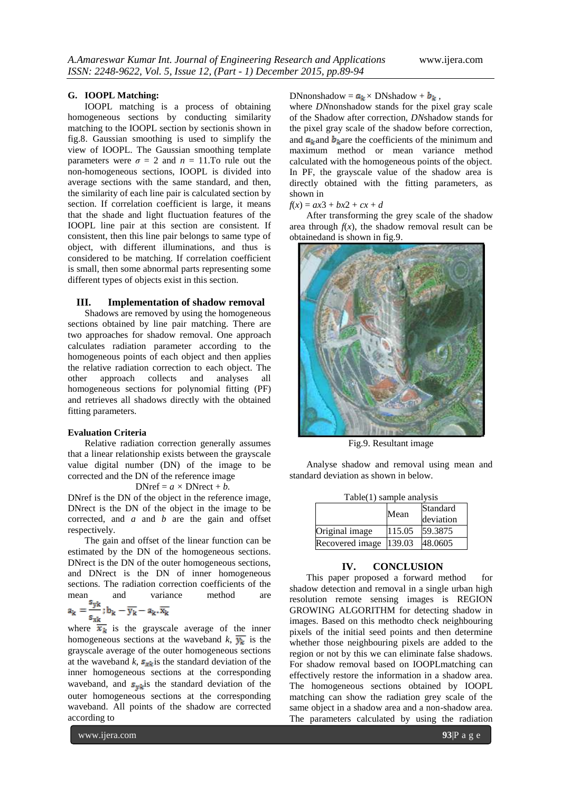#### **G. IOOPL Matching:**

IOOPL matching is a process of obtaining homogeneous sections by conducting similarity matching to the IOOPL section by sectionis shown in fig.8. Gaussian smoothing is used to simplify the view of IOOPL. The Gaussian smoothing template parameters were  $\sigma = 2$  and  $n = 11$ . To rule out the non-homogeneous sections, IOOPL is divided into average sections with the same standard, and then, the similarity of each line pair is calculated section by section. If correlation coefficient is large, it means that the shade and light fluctuation features of the IOOPL line pair at this section are consistent. If consistent, then this line pair belongs to same type of object, with different illuminations, and thus is considered to be matching. If correlation coefficient is small, then some abnormal parts representing some different types of objects exist in this section.

#### **III. Implementation of shadow removal**

Shadows are removed by using the homogeneous sections obtained by line pair matching. There are two approaches for shadow removal. One approach calculates radiation parameter according to the homogeneous points of each object and then applies the relative radiation correction to each object. The other approach collects and analyses all homogeneous sections for polynomial fitting (PF) and retrieves all shadows directly with the obtained fitting parameters.

#### **Evaluation Criteria**

Relative radiation correction generally assumes that a linear relationship exists between the grayscale value digital number (DN) of the image to be corrected and the DN of the reference image

$$
DNref = a \times DNrect + b.
$$

DNref is the DN of the object in the reference image, DNrect is the DN of the object in the image to be corrected, and *a* and *b* are the gain and offset respectively.

The gain and offset of the linear function can be estimated by the DN of the homogeneous sections. DNrect is the DN of the outer homogeneous sections, and DNrect is the DN of inner homogeneous sections. The radiation correction coefficients of the mean and variance method are

$$
a_{k} = \frac{y_{k}}{s_{xk}}; b_{k} - \overline{y_{k}} - a_{k}, \overline{x_{k}}
$$

where  $\overline{x_k}$  is the grayscale average of the inner homogeneous sections at the waveband  $k$ ,  $\overline{y_k}$  is the grayscale average of the outer homogeneous sections at the waveband  $k$ ,  $s_{x\hat{k}}$  is the standard deviation of the inner homogeneous sections at the corresponding waveband, and  $s_{yk}$  is the standard deviation of the outer homogeneous sections at the corresponding waveband. All points of the shadow are corrected according to

DNnonshadow =  $a_k \times$  DNshadow +  $b_k$ ,

where *DN*nonshadow stands for the pixel gray scale of the Shadow after correction, *DN*shadow stands for the pixel gray scale of the shadow before correction, and  $a_k$  and  $b_k$  are the coefficients of the minimum and maximum method or mean variance method calculated with the homogeneous points of the object. In PF, the grayscale value of the shadow area is directly obtained with the fitting parameters, as shown in

## $f(x) = ax3 + bx2 + cx + d$

After transforming the grey scale of the shadow area through  $f(x)$ , the shadow removal result can be obtainedand is shown in fig.9.



Fig.9. Resultant image

Analyse shadow and removal using mean and standard deviation as shown in below.

| $Table(1)$ sample analysis |        |           |
|----------------------------|--------|-----------|
|                            | Mean   | Standard  |
|                            |        | deviation |
| riginal image              | 115.05 | 59.3875   |

Recovered image 139.03 48.0605

#### **IV. CONCLUSION**

This paper proposed a forward method for shadow detection and removal in a single urban high resolution remote sensing images is REGION GROWING ALGORITHM for detecting shadow in images. Based on this methodto check neighbouring pixels of the initial seed points and then determine whether those neighbouring pixels are added to the region or not by this we can eliminate false shadows. For shadow removal based on IOOPLmatching can effectively restore the information in a shadow area. The homogeneous sections obtained by IOOPL matching can show the radiation grey scale of the same object in a shadow area and a non-shadow area. The parameters calculated by using the radiation